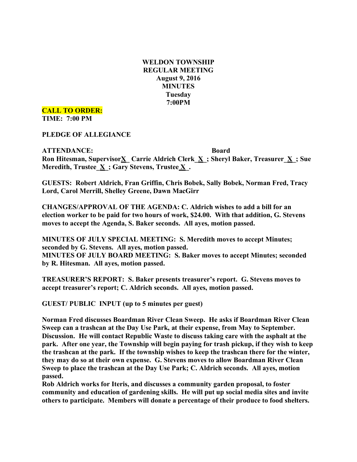**WELDON TOWNSHIP REGULAR MEETING August 9, 2016 MINUTES Tuesday 7:00PM**

**CALL TO ORDER: TIME: 7:00 PM**

**PLEDGE OF ALLEGIANCE**

**ATTENDANCE: Board Ron Hitesman, SupervisorX\_ Carrie Aldrich Clerk\_X\_; Sheryl Baker, Treasurer\_X\_; Sue Meredith, Trustee\_X\_; Gary Stevens, Trustee X\_.**

**GUESTS: Robert Aldrich, Fran Griffin, Chris Bobek, Sally Bobek, Norman Fred, Tracy Lord, Carol Merrill, Shelley Greene, Dawn MacGirr**

**CHANGES/APPROVAL OF THE AGENDA: C. Aldrich wishes to add a bill for an election worker to be paid for two hours of work, \$24.00. With that addition, G. Stevens moves to accept the Agenda, S. Baker seconds. All ayes, motion passed.**

**MINUTES OF JULY SPECIAL MEETING: S. Meredith moves to accept Minutes; seconded by G. Stevens. All ayes, motion passed. MINUTES OF JULY BOARD MEETING: S. Baker moves to accept Minutes; seconded by R. Hitesman. All ayes, motion passed.**

**TREASURER'S REPORT: S. Baker presents treasurer's report. G. Stevens moves to accept treasurer's report; C. Aldrich seconds. All ayes, motion passed.**

**GUEST/ PUBLIC INPUT (up to 5 minutes per guest)**

**Norman Fred discusses Boardman River Clean Sweep. He asks if Boardman River Clean Sweep can a trashcan at the Day Use Park, at their expense, from May to September. Discussion. He will contact Republic Waste to discuss taking care with the asphalt at the park. After one year, the Township will begin paying for trash pickup, if they wish to keep the trashcan at the park. If the township wishes to keep the trashcan there for the winter, they may do so at their own expense. G. Stevens moves to allow Boardman River Clean Sweep to place the trashcan at the Day Use Park; C. Aldrich seconds. All ayes, motion passed.**

**Rob Aldrich works for Iteris, and discusses a community garden proposal, to foster community and education of gardening skills. He will put up social media sites and invite others to participate. Members will donate a percentage of their produce to food shelters.**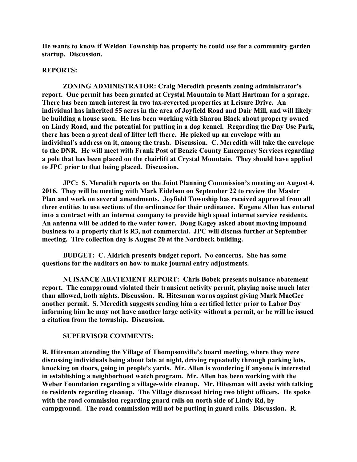**He wants to know if Weldon Township has property he could use for a community garden startup. Discussion.**

#### **REPORTS:**

**ZONING ADMINISTRATOR: Craig Meredith presents zoning administrator's report. One permit has been granted at Crystal Mountain to Matt Hartman for a garage. There has been much interest in two tax-reverted properties at Leisure Drive. An individual has inherited 55 acres in the area of Joyfield Road and Dair Mill, and will likely be building a house soon. He has been working with Sharon Black about property owned on Lindy Road, and the potential for putting in a dog kennel. Regarding the Day Use Park, there has been a great deal of litter left there. He picked up an envelope with an individual's address on it, among the trash. Discussion. C. Meredith will take the envelope to the DNR. He will meet with Frank Post of Benzie County Emergency Services regarding a pole that has been placed on the chairlift at Crystal Mountain. They should have applied to JPC prior to that being placed. Discussion.**

**JPC: S. Meredith reports on the Joint Planning Commission's meeting on August 4, 2016. They will be meeting with Mark Eidelson on September 22 to review the Master Plan and work on several amendments. Joyfield Township has received approval from all three entities to use sections of the ordinance for their ordinance. Eugene Allen has entered into a contract with an internet company to provide high speed internet service residents. An antenna will be added to the water tower. Doug Kagey asked about moving impound business to a property that is R3, not commercial. JPC will discuss further at September meeting. Tire collection day is August 20 at the Nordbeck building.**

**BUDGET: C. Aldrich presents budget report. No concerns. She has some questions for the auditors on how to make journal entry adjustments.**

**NUISANCE ABATEMENT REPORT: Chris Bobek presents nuisance abatement report. The campground violated their transient activity permit, playing noise much later than allowed, both nights. Discussion. R. Hitesman warns against giving Mark MacGee another permit. S. Meredith suggests sending him a certified letter prior to Labor Day informing him he may not have another large activity without a permit, or he will be issued a citation from the township. Discussion.**

#### **SUPERVISOR COMMENTS:**

**R. Hitesman attending the Village of Thompsonville's board meeting, where they were discussing individuals being about late at night, driving repeatedly through parking lots, knocking on doors, going in people's yards. Mr. Allen is wondering if anyone is interested in establishing a neighborhood watch program. Mr. Allen has been working with the Weber Foundation regarding a village-wide cleanup. Mr. Hitesman will assist with talking to residents regarding cleanup. The Village discussed hiring two blight officers. He spoke with the road commission regarding guard rails on north side of Lindy Rd, by campground. The road commission will not be putting in guard rails. Discussion. R.**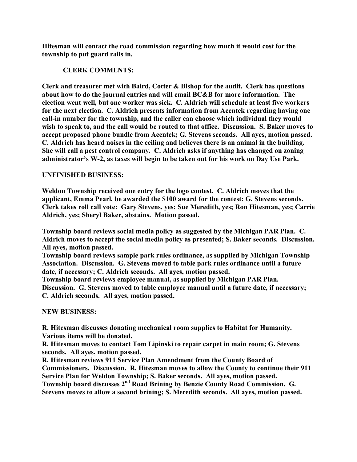**Hitesman will contact the road commission regarding how much it would cost for the township to put guard rails in.**

# **CLERK COMMENTS:**

**Clerk and treasurer met with Baird, Cotter & Bishop for the audit. Clerk has questions about how to do the journal entries and will email BC&B for more information. The election went well, but one worker was sick. C. Aldrich will schedule at least five workers for the next election. C. Aldrich presents information from Acentek regarding having one call-in number for the township, and the caller can choose which individual they would wish to speak to, and the call would be routed to that office. Discussion. S. Baker moves to accept proposed phone bundle from Acentek; G. Stevens seconds. All ayes, motion passed. C. Aldrich has heard noises in the ceiling and believes there is an animal in the building. She will call a pest control company. C. Aldrich asks if anything has changed on zoning administrator's W-2, as taxes will begin to be taken out for his work on Day Use Park.**

# **UNFINISHED BUSINESS:**

**Weldon Township received one entry for the logo contest. C. Aldrich moves that the applicant, Emma Pearl, be awarded the \$100 award for the contest; G. Stevens seconds. Clerk takes roll call vote: Gary Stevens, yes; Sue Meredith, yes; Ron Hitesman, yes; Carrie Aldrich, yes; Sheryl Baker, abstains. Motion passed.**

**Township board reviews social media policy as suggested by the Michigan PAR Plan. C. Aldrich moves to accept the social media policy as presented; S. Baker seconds. Discussion. All ayes, motion passed.**

**Township board reviews sample park rules ordinance, as supplied by Michigan Township Association. Discussion. G. Stevens moved to table park rules ordinance until a future date, if necessary; C. Aldrich seconds. All ayes, motion passed.**

**Township board reviews employee manual, as supplied by Michigan PAR Plan. Discussion. G. Stevens moved to table employee manual until a future date, if necessary; C. Aldrich seconds. All ayes, motion passed.**

## **NEW BUSINESS:**

**R. Hitesman discusses donating mechanical room supplies to Habitat for Humanity. Various items will be donated.**

**R. Hitesman moves to contact Tom Lipinski to repair carpet in main room; G. Stevens seconds. All ayes, motion passed.**

**R. Hitesman reviews 911 Service Plan Amendment from the County Board of Commissioners. Discussion. R. Hitesman moves to allow the County to continue their 911 Service Plan for Weldon Township; S. Baker seconds. All ayes, motion passed.**

**Township board discusses 2nd Road Brining by Benzie County Road Commission. G. Stevens moves to allow a second brining; S. Meredith seconds. All ayes, motion passed.**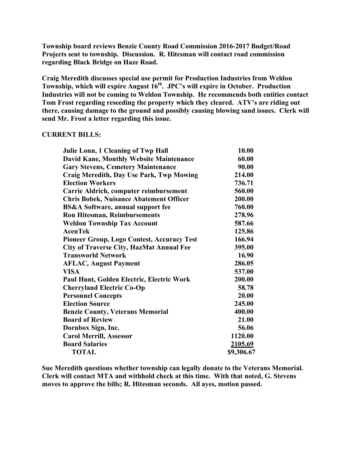**Township board reviews Benzie County Road Commission 2016-2017 Budget/Road Projects sent to township. Discussion. R. Hitesman will contact road commission regarding Black Bridge on Haze Road.**

**Craig Meredith discusses special use permit for Production Industries from Weldon Township, which will expire August 16th. JPC's will expire in October. Production Industries will not be coming to Weldon Township. He recommends both entities contact Tom Frost regarding reseeding the property which they cleared. ATV's are riding out there, causing damage to the ground and possibly causing blowing sand issues. Clerk will send Mr. Frost a letter regarding this issue.**

### **CURRENT BILLS:**

| Julie Lonn, 1 Cleaning of Twp Hall                | 10.00      |
|---------------------------------------------------|------------|
| <b>David Kane, Monthly Website Maintenance</b>    | 60.00      |
| <b>Gary Stevens, Cemetery Maintenance</b>         | 90.00      |
| Craig Meredith, Day Use Park, Twp Mowing          | 214.00     |
| <b>Election Workers</b>                           | 736.71     |
| Carrie Aldrich, computer reimbursement            | 560.00     |
| <b>Chris Bobek, Nuisance Abatement Officer</b>    | 200.00     |
| <b>BS&amp;A Software, annual support fee</b>      | 760.00     |
| <b>Ron Hitesman, Reimbursements</b>               | 278.96     |
| <b>Weldon Township Tax Account</b>                | 587.66     |
| <b>AcenTek</b>                                    | 125.86     |
| <b>Pioneer Group, Logo Contest, Accuracy Test</b> | 166.94     |
| <b>City of Traverse City, HazMat Annual Fee</b>   | 395.00     |
| <b>Transworld Network</b>                         | 16.90      |
| <b>AFLAC, August Payment</b>                      | 286.05     |
| <b>VISA</b>                                       | 537.00     |
| Paul Hunt, Golden Electric, Electric Work         | 200.00     |
| <b>Cherryland Electric Co-Op</b>                  | 58.78      |
| <b>Personnel Concepts</b>                         | 20.00      |
| <b>Election Source</b>                            | 245.00     |
| <b>Benzie County, Veterans Memorial</b>           | 400.00     |
| <b>Board of Review</b>                            | 21.00      |
| Dornbox Sign, Inc.                                | 56.06      |
| <b>Carol Merrill, Assessor</b>                    | 1120.00    |
| <b>Board Salaries</b>                             | 2105.69    |
| <b>TOTAL</b>                                      | \$9,306.67 |

**Sue Meredith questions whether township can legally donate to the Veterans Memorial. Clerk will contact MTA and withhold check at this time. With that noted, G. Stevens moves to approve the bills; R. Hitesman seconds. All ayes, motion passed.**